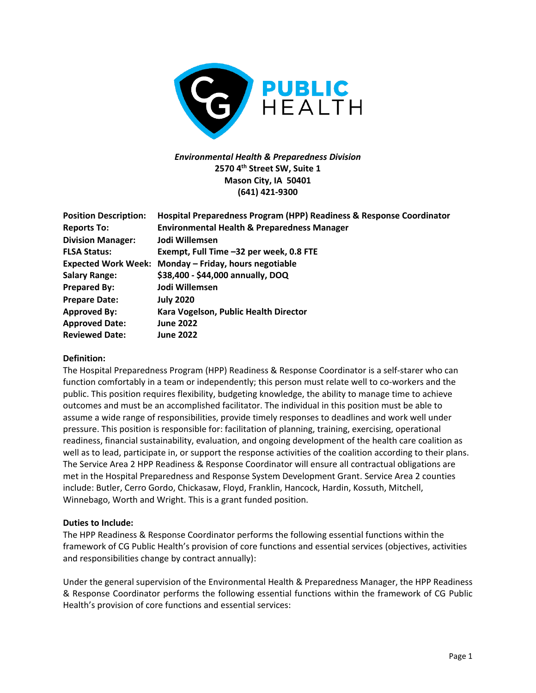

# *Environmental Health & Preparedness Division* **2570 4th Street SW, Suite 1 Mason City, IA 50401 (641) 421-9300**

| <b>Position Description:</b><br><b>Reports To:</b> | Hospital Preparedness Program (HPP) Readiness & Response Coordinator<br><b>Environmental Health &amp; Preparedness Manager</b> |
|----------------------------------------------------|--------------------------------------------------------------------------------------------------------------------------------|
| <b>Division Manager:</b>                           | Jodi Willemsen                                                                                                                 |
| <b>FLSA Status:</b>                                | Exempt, Full Time -32 per week, 0.8 FTE                                                                                        |
|                                                    | Expected Work Week: Monday - Friday, hours negotiable                                                                          |
| <b>Salary Range:</b>                               | \$38,400 - \$44,000 annually, DOQ                                                                                              |
| <b>Prepared By:</b>                                | Jodi Willemsen                                                                                                                 |
| <b>Prepare Date:</b>                               | <b>July 2020</b>                                                                                                               |
| <b>Approved By:</b>                                | Kara Vogelson, Public Health Director                                                                                          |
| <b>Approved Date:</b>                              | <b>June 2022</b>                                                                                                               |
| <b>Reviewed Date:</b>                              | <b>June 2022</b>                                                                                                               |

### **Definition:**

The Hospital Preparedness Program (HPP) Readiness & Response Coordinator is a self-starer who can function comfortably in a team or independently; this person must relate well to co-workers and the public. This position requires flexibility, budgeting knowledge, the ability to manage time to achieve outcomes and must be an accomplished facilitator. The individual in this position must be able to assume a wide range of responsibilities, provide timely responses to deadlines and work well under pressure. This position is responsible for: facilitation of planning, training, exercising, operational readiness, financial sustainability, evaluation, and ongoing development of the health care coalition as well as to lead, participate in, or support the response activities of the coalition according to their plans. The Service Area 2 HPP Readiness & Response Coordinator will ensure all contractual obligations are met in the Hospital Preparedness and Response System Development Grant. Service Area 2 counties include: Butler, Cerro Gordo, Chickasaw, Floyd, Franklin, Hancock, Hardin, Kossuth, Mitchell, Winnebago, Worth and Wright. This is a grant funded position.

#### **Duties to Include:**

The HPP Readiness & Response Coordinator performs the following essential functions within the framework of CG Public Health's provision of core functions and essential services (objectives, activities and responsibilities change by contract annually):

Under the general supervision of the Environmental Health & Preparedness Manager, the HPP Readiness & Response Coordinator performs the following essential functions within the framework of CG Public Health's provision of core functions and essential services: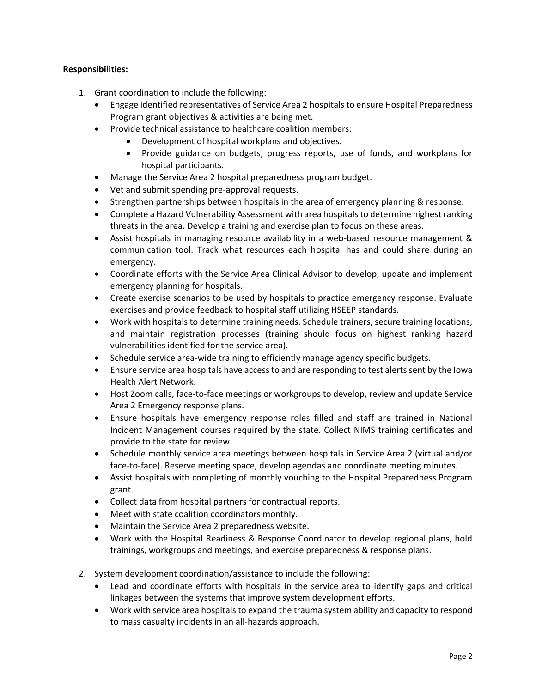### **Responsibilities:**

- 1. Grant coordination to include the following:
	- Engage identified representatives of Service Area 2 hospitals to ensure Hospital Preparedness Program grant objectives & activities are being met.
	- Provide technical assistance to healthcare coalition members:
		- Development of hospital workplans and objectives.
		- Provide guidance on budgets, progress reports, use of funds, and workplans for hospital participants.
	- Manage the Service Area 2 hospital preparedness program budget.
	- Vet and submit spending pre-approval requests.
	- Strengthen partnerships between hospitals in the area of emergency planning & response.
	- Complete a Hazard Vulnerability Assessment with area hospitals to determine highest ranking threats in the area. Develop a training and exercise plan to focus on these areas.
	- Assist hospitals in managing resource availability in a web-based resource management & communication tool. Track what resources each hospital has and could share during an emergency.
	- Coordinate efforts with the Service Area Clinical Advisor to develop, update and implement emergency planning for hospitals.
	- Create exercise scenarios to be used by hospitals to practice emergency response. Evaluate exercises and provide feedback to hospital staff utilizing HSEEP standards.
	- Work with hospitals to determine training needs. Schedule trainers, secure training locations, and maintain registration processes (training should focus on highest ranking hazard vulnerabilities identified for the service area).
	- Schedule service area-wide training to efficiently manage agency specific budgets.
	- Ensure service area hospitals have access to and are responding to test alerts sent by the Iowa Health Alert Network.
	- Host Zoom calls, face-to-face meetings or workgroups to develop, review and update Service Area 2 Emergency response plans.
	- Ensure hospitals have emergency response roles filled and staff are trained in National Incident Management courses required by the state. Collect NIMS training certificates and provide to the state for review.
	- Schedule monthly service area meetings between hospitals in Service Area 2 (virtual and/or face-to-face). Reserve meeting space, develop agendas and coordinate meeting minutes.
	- Assist hospitals with completing of monthly vouching to the Hospital Preparedness Program grant.
	- Collect data from hospital partners for contractual reports.
	- Meet with state coalition coordinators monthly.
	- Maintain the Service Area 2 preparedness website.
	- Work with the Hospital Readiness & Response Coordinator to develop regional plans, hold trainings, workgroups and meetings, and exercise preparedness & response plans.
- 2. System development coordination/assistance to include the following:
	- Lead and coordinate efforts with hospitals in the service area to identify gaps and critical linkages between the systems that improve system development efforts.
	- Work with service area hospitals to expand the trauma system ability and capacity to respond to mass casualty incidents in an all-hazards approach.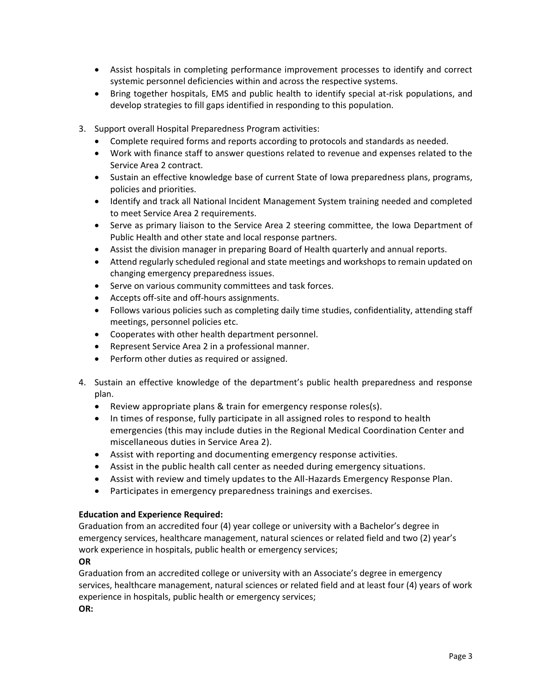- Assist hospitals in completing performance improvement processes to identify and correct systemic personnel deficiencies within and across the respective systems.
- Bring together hospitals, EMS and public health to identify special at-risk populations, and develop strategies to fill gaps identified in responding to this population.
- 3. Support overall Hospital Preparedness Program activities:
	- Complete required forms and reports according to protocols and standards as needed.
	- Work with finance staff to answer questions related to revenue and expenses related to the Service Area 2 contract.
	- Sustain an effective knowledge base of current State of Iowa preparedness plans, programs, policies and priorities.
	- Identify and track all National Incident Management System training needed and completed to meet Service Area 2 requirements.
	- Serve as primary liaison to the Service Area 2 steering committee, the Iowa Department of Public Health and other state and local response partners.
	- Assist the division manager in preparing Board of Health quarterly and annual reports.
	- Attend regularly scheduled regional and state meetings and workshops to remain updated on changing emergency preparedness issues.
	- Serve on various community committees and task forces.
	- Accepts off-site and off-hours assignments.
	- Follows various policies such as completing daily time studies, confidentiality, attending staff meetings, personnel policies etc.
	- Cooperates with other health department personnel.
	- Represent Service Area 2 in a professional manner.
	- Perform other duties as required or assigned.
- 4. Sustain an effective knowledge of the department's public health preparedness and response plan.
	- Review appropriate plans & train for emergency response roles(s).
	- In times of response, fully participate in all assigned roles to respond to health emergencies (this may include duties in the Regional Medical Coordination Center and miscellaneous duties in Service Area 2).
	- Assist with reporting and documenting emergency response activities.
	- Assist in the public health call center as needed during emergency situations.
	- Assist with review and timely updates to the All-Hazards Emergency Response Plan.
	- Participates in emergency preparedness trainings and exercises.

### **Education and Experience Required:**

Graduation from an accredited four (4) year college or university with a Bachelor's degree in emergency services, healthcare management, natural sciences or related field and two (2) year's work experience in hospitals, public health or emergency services;

### **OR**

Graduation from an accredited college or university with an Associate's degree in emergency services, healthcare management, natural sciences or related field and at least four (4) years of work experience in hospitals, public health or emergency services; **OR:**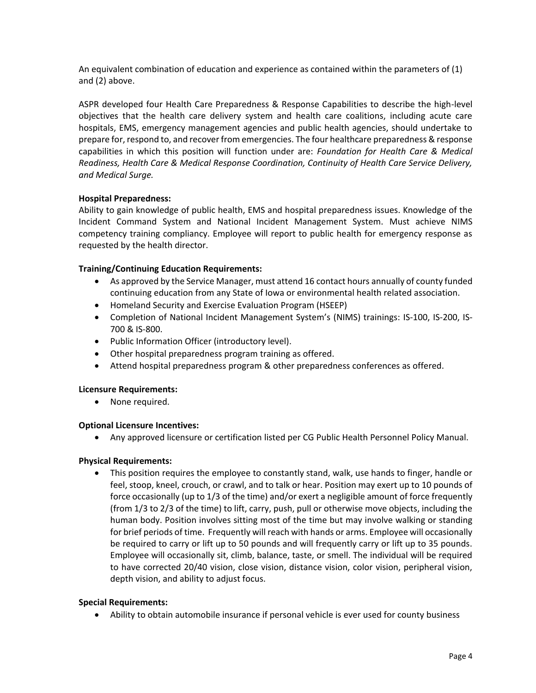An equivalent combination of education and experience as contained within the parameters of (1) and (2) above.

ASPR developed four Health Care Preparedness & Response Capabilities to describe the high-level objectives that the health care delivery system and health care coalitions, including acute care hospitals, EMS, emergency management agencies and public health agencies, should undertake to prepare for, respond to, and recover from emergencies. The four healthcare preparedness & response capabilities in which this position will function under are: *Foundation for Health Care & Medical Readiness, Health Care & Medical Response Coordination, Continuity of Health Care Service Delivery, and Medical Surge.* 

### **Hospital Preparedness:**

Ability to gain knowledge of public health, EMS and hospital preparedness issues. Knowledge of the Incident Command System and National Incident Management System. Must achieve NIMS competency training compliancy. Employee will report to public health for emergency response as requested by the health director.

## **Training/Continuing Education Requirements:**

- As approved by the Service Manager, must attend 16 contact hours annually of county funded continuing education from any State of Iowa or environmental health related association.
- Homeland Security and Exercise Evaluation Program (HSEEP)
- Completion of National Incident Management System's (NIMS) trainings: IS-100, IS-200, IS-700 & IS-800.
- Public Information Officer (introductory level).
- Other hospital preparedness program training as offered.
- Attend hospital preparedness program & other preparedness conferences as offered.

### **Licensure Requirements:**

• None required.

### **Optional Licensure Incentives:**

• Any approved licensure or certification listed per CG Public Health Personnel Policy Manual.

### **Physical Requirements:**

• This position requires the employee to constantly stand, walk, use hands to finger, handle or feel, stoop, kneel, crouch, or crawl, and to talk or hear. Position may exert up to 10 pounds of force occasionally (up to 1/3 of the time) and/or exert a negligible amount of force frequently (from 1/3 to 2/3 of the time) to lift, carry, push, pull or otherwise move objects, including the human body. Position involves sitting most of the time but may involve walking or standing for brief periods of time. Frequently will reach with hands or arms. Employee will occasionally be required to carry or lift up to 50 pounds and will frequently carry or lift up to 35 pounds. Employee will occasionally sit, climb, balance, taste, or smell. The individual will be required to have corrected 20/40 vision, close vision, distance vision, color vision, peripheral vision, depth vision, and ability to adjust focus.

### **Special Requirements:**

• Ability to obtain automobile insurance if personal vehicle is ever used for county business